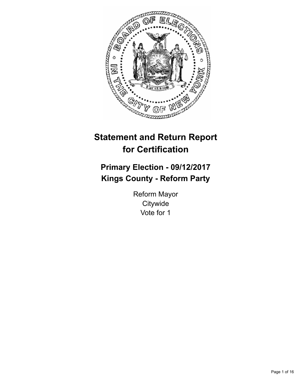

# **Statement and Return Report for Certification**

## **Primary Election - 09/12/2017 Kings County - Reform Party**

Reform Mayor **Citywide** Vote for 1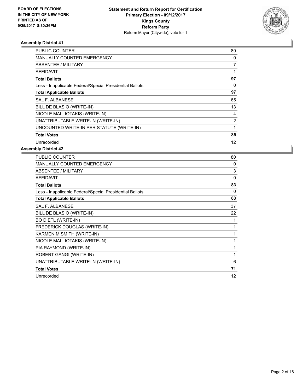

| <b>PUBLIC COUNTER</b>                                    | 89       |
|----------------------------------------------------------|----------|
| <b>MANUALLY COUNTED EMERGENCY</b>                        | 0        |
| ABSENTEE / MILITARY                                      | 7        |
| <b>AFFIDAVIT</b>                                         |          |
| <b>Total Ballots</b>                                     | 97       |
| Less - Inapplicable Federal/Special Presidential Ballots | $\Omega$ |
| <b>Total Applicable Ballots</b>                          | 97       |
| <b>SAL F. ALBANESE</b>                                   | 65       |
| BILL DE BLASIO (WRITE-IN)                                | 13       |
| NICOLE MALLIOTAKIS (WRITE-IN)                            | 4        |
| UNATTRIBUTABLE WRITE-IN (WRITE-IN)                       | 2        |
| UNCOUNTED WRITE-IN PER STATUTE (WRITE-IN)                |          |
| <b>Total Votes</b>                                       | 85       |
| Unrecorded                                               | 12       |

| PUBLIC COUNTER                                           | 80       |
|----------------------------------------------------------|----------|
| <b>MANUALLY COUNTED EMERGENCY</b>                        | 0        |
| ABSENTEE / MILITARY                                      | 3        |
| <b>AFFIDAVIT</b>                                         | $\Omega$ |
| <b>Total Ballots</b>                                     | 83       |
| Less - Inapplicable Federal/Special Presidential Ballots | $\Omega$ |
| <b>Total Applicable Ballots</b>                          | 83       |
| <b>SAL F. ALBANESE</b>                                   | 37       |
| BILL DE BLASIO (WRITE-IN)                                | 22       |
| <b>BO DIETL (WRITE-IN)</b>                               |          |
| FREDERICK DOUGLAS (WRITE-IN)                             | 1        |
| KARMEN M SMITH (WRITE-IN)                                | 1        |
| NICOLE MALLIOTAKIS (WRITE-IN)                            | 1        |
| PIA RAYMOND (WRITE-IN)                                   | 1        |
| ROBERT GANGI (WRITE-IN)                                  | 1        |
| UNATTRIBUTABLE WRITE-IN (WRITE-IN)                       | 6        |
| <b>Total Votes</b>                                       | 71       |
| Unrecorded                                               | 12       |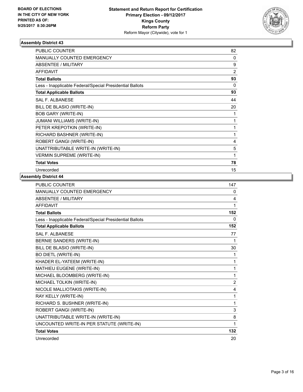

| <b>PUBLIC COUNTER</b>                                    | 82 |
|----------------------------------------------------------|----|
| MANUALLY COUNTED EMERGENCY                               | 0  |
| ABSENTEE / MILITARY                                      | 9  |
| <b>AFFIDAVIT</b>                                         | 2  |
| <b>Total Ballots</b>                                     | 93 |
| Less - Inapplicable Federal/Special Presidential Ballots | 0  |
| <b>Total Applicable Ballots</b>                          | 93 |
| <b>SAL F. ALBANESE</b>                                   | 44 |
| BILL DE BLASIO (WRITE-IN)                                | 20 |
| <b>BOB GARY (WRITE-IN)</b>                               |    |
| JUMANI WILLIAMS (WRITE-IN)                               | 1  |
| PETER KREPOTKIN (WRITE-IN)                               | 1  |
| RICHARD BASHNER (WRITE-IN)                               | 1  |
| ROBERT GANGI (WRITE-IN)                                  | 4  |
| UNATTRIBUTABLE WRITE-IN (WRITE-IN)                       | 5  |
| <b>VERMIN SUPREME (WRITE-IN)</b>                         | 1  |
| <b>Total Votes</b>                                       | 78 |
| Unrecorded                                               | 15 |

| PUBLIC COUNTER                                           | 147 |
|----------------------------------------------------------|-----|
| <b>MANUALLY COUNTED EMERGENCY</b>                        | 0   |
| <b>ABSENTEE / MILITARY</b>                               | 4   |
| <b>AFFIDAVIT</b>                                         | 1   |
| <b>Total Ballots</b>                                     | 152 |
| Less - Inapplicable Federal/Special Presidential Ballots | 0   |
| <b>Total Applicable Ballots</b>                          | 152 |
| <b>SAL F. ALBANESE</b>                                   | 77  |
| BERNIE SANDERS (WRITE-IN)                                | 1   |
| BILL DE BLASIO (WRITE-IN)                                | 30  |
| <b>BO DIETL (WRITE-IN)</b>                               | 1   |
| KHADER EL-YATEEM (WRITE-IN)                              | 1   |
| MATHIEU EUGENE (WRITE-IN)                                | 1   |
| MICHAEL BLOOMBERG (WRITE-IN)                             | 1   |
| MICHAEL TOLKIN (WRITE-IN)                                | 2   |
| NICOLE MALLIOTAKIS (WRITE-IN)                            | 4   |
| RAY KELLY (WRITE-IN)                                     | 1   |
| RICHARD S. BUSHNER (WRITE-IN)                            | 1   |
| ROBERT GANGI (WRITE-IN)                                  | 3   |
| UNATTRIBUTABLE WRITE-IN (WRITE-IN)                       | 8   |
| UNCOUNTED WRITE-IN PER STATUTE (WRITE-IN)                | 1   |
| <b>Total Votes</b>                                       | 132 |
| Unrecorded                                               | 20  |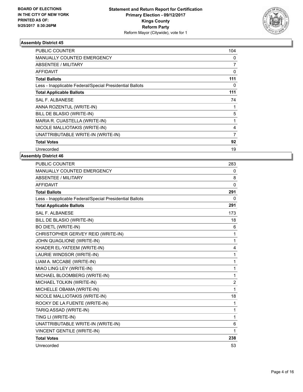

| <b>PUBLIC COUNTER</b>                                    | 104 |
|----------------------------------------------------------|-----|
| <b>MANUALLY COUNTED EMERGENCY</b>                        | 0   |
| <b>ABSENTEE / MILITARY</b>                               | 7   |
| <b>AFFIDAVIT</b>                                         | 0   |
| <b>Total Ballots</b>                                     | 111 |
| Less - Inapplicable Federal/Special Presidential Ballots | 0   |
| <b>Total Applicable Ballots</b>                          | 111 |
| <b>SAL F. ALBANESE</b>                                   | 74  |
| ANNA ROZENTUL (WRITE-IN)                                 |     |
| BILL DE BLASIO (WRITE-IN)                                | 5   |
| MARIA R. CUASTELLA (WRITE-IN)                            | 1   |
| NICOLE MALLIOTAKIS (WRITE-IN)                            | 4   |
| UNATTRIBUTABLE WRITE-IN (WRITE-IN)                       | 7   |
| <b>Total Votes</b>                                       | 92  |
| Unrecorded                                               | 19  |

| <b>PUBLIC COUNTER</b>                                    | 283            |
|----------------------------------------------------------|----------------|
| <b>MANUALLY COUNTED EMERGENCY</b>                        | 0              |
| <b>ABSENTEE / MILITARY</b>                               | 8              |
| <b>AFFIDAVIT</b>                                         | $\Omega$       |
| <b>Total Ballots</b>                                     | 291            |
| Less - Inapplicable Federal/Special Presidential Ballots | 0              |
| <b>Total Applicable Ballots</b>                          | 291            |
| SAI F. AI BANESE                                         | 173            |
| BILL DE BLASIO (WRITE-IN)                                | 18             |
| <b>BO DIETL (WRITE-IN)</b>                               | 6              |
| CHRISTOPHER GERVEY REID (WRITE-IN)                       | 1              |
| JOHN QUAGLIONE (WRITE-IN)                                | 1              |
| KHADER EL-YATEEM (WRITE-IN)                              | 4              |
| LAURIE WINDSOR (WRITE-IN)                                | 1              |
| LIAM A. MCCABE (WRITE-IN)                                | 1              |
| MIAO LING LEY (WRITE-IN)                                 | 1              |
| MICHAEL BLOOMBERG (WRITE-IN)                             | 1              |
| MICHAEL TOLKIN (WRITE-IN)                                | $\overline{2}$ |
| MICHELLE OBAMA (WRITE-IN)                                | 1              |
| NICOLE MALLIOTAKIS (WRITE-IN)                            | 18             |
| ROCKY DE LA FUENTE (WRITE-IN)                            | 1              |
| TARIQ ASSAD (WRITE-IN)                                   | 1              |
| TING LI (WRITE-IN)                                       | 1              |
| UNATTRIBUTABLE WRITE-IN (WRITE-IN)                       | 6              |
| <b>VINCENT GENTILE (WRITE-IN)</b>                        | 1              |
| <b>Total Votes</b>                                       | 238            |
| Unrecorded                                               | 53             |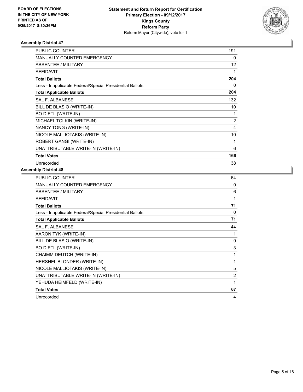

| <b>PUBLIC COUNTER</b>                                    | 191            |
|----------------------------------------------------------|----------------|
| <b>MANUALLY COUNTED EMERGENCY</b>                        | 0              |
| ABSENTEE / MILITARY                                      | 12             |
| <b>AFFIDAVIT</b>                                         |                |
| <b>Total Ballots</b>                                     | 204            |
| Less - Inapplicable Federal/Special Presidential Ballots | 0              |
| <b>Total Applicable Ballots</b>                          | 204            |
| <b>SAL F. ALBANESE</b>                                   | 132            |
| BILL DE BLASIO (WRITE-IN)                                | 10             |
| <b>BO DIETL (WRITE-IN)</b>                               | 1              |
| MICHAEL TOLKIN (WRITE-IN)                                | $\overline{2}$ |
| NANCY TONG (WRITE-IN)                                    | 4              |
| NICOLE MALLIOTAKIS (WRITE-IN)                            | 10             |
| ROBERT GANGI (WRITE-IN)                                  | 1              |
| UNATTRIBUTABLE WRITE-IN (WRITE-IN)                       | 6              |
| <b>Total Votes</b>                                       | 166            |
| Unrecorded                                               | 38             |

| PUBLIC COUNTER                                           | 64             |
|----------------------------------------------------------|----------------|
| MANUALLY COUNTED EMERGENCY                               | 0              |
| <b>ABSENTEE / MILITARY</b>                               | 6              |
| <b>AFFIDAVIT</b>                                         | 1              |
| <b>Total Ballots</b>                                     | 71             |
| Less - Inapplicable Federal/Special Presidential Ballots | 0              |
| <b>Total Applicable Ballots</b>                          | 71             |
| <b>SAL F. ALBANESE</b>                                   | 44             |
| AARON TYK (WRITE-IN)                                     | 1              |
| BILL DE BLASIO (WRITE-IN)                                | 9              |
| <b>BO DIETL (WRITE-IN)</b>                               | 3              |
| CHAIMM DEUTCH (WRITE-IN)                                 | 1              |
| HERSHEL BLONDER (WRITE-IN)                               | 1              |
| NICOLE MALLIOTAKIS (WRITE-IN)                            | 5              |
| UNATTRIBUTABLE WRITE-IN (WRITE-IN)                       | $\overline{c}$ |
| YEHUDA HEIMFELD (WRITE-IN)                               | 1              |
| <b>Total Votes</b>                                       | 67             |
| Unrecorded                                               | 4              |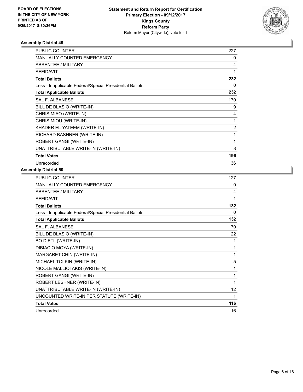

| <b>PUBLIC COUNTER</b>                                    | 227            |
|----------------------------------------------------------|----------------|
| <b>MANUALLY COUNTED EMERGENCY</b>                        | 0              |
| ABSENTEE / MILITARY                                      | 4              |
| <b>AFFIDAVIT</b>                                         | 1              |
| <b>Total Ballots</b>                                     | 232            |
| Less - Inapplicable Federal/Special Presidential Ballots | 0              |
| <b>Total Applicable Ballots</b>                          | 232            |
| <b>SAL F. ALBANESE</b>                                   | 170            |
| BILL DE BLASIO (WRITE-IN)                                | 9              |
| CHRIS MIAO (WRITE-IN)                                    | 4              |
| CHRIS MIOU (WRITE-IN)                                    | 1              |
| KHADER EL-YATEEM (WRITE-IN)                              | $\overline{2}$ |
| RICHARD BASHNER (WRITE-IN)                               | 1              |
| ROBERT GANGI (WRITE-IN)                                  | 1              |
| UNATTRIBUTABLE WRITE-IN (WRITE-IN)                       | 8              |
| <b>Total Votes</b>                                       | 196            |
| Unrecorded                                               | 36             |

| PUBLIC COUNTER                                           | 127             |
|----------------------------------------------------------|-----------------|
| MANUALLY COUNTED EMERGENCY                               | 0               |
| <b>ABSENTEE / MILITARY</b>                               | 4               |
| <b>AFFIDAVIT</b>                                         | 1               |
| <b>Total Ballots</b>                                     | 132             |
| Less - Inapplicable Federal/Special Presidential Ballots | 0               |
| <b>Total Applicable Ballots</b>                          | 132             |
| SAL F. ALBANESE                                          | 70              |
| BILL DE BLASIO (WRITE-IN)                                | 22              |
| <b>BO DIETL (WRITE-IN)</b>                               | 1               |
| DIBIACIO MOYA (WRITE-IN)                                 | 1               |
| MARGARET CHIN (WRITE-IN)                                 | 1               |
| MICHAEL TOLKIN (WRITE-IN)                                | 5               |
| NICOLE MALLIOTAKIS (WRITE-IN)                            | 1               |
| ROBERT GANGI (WRITE-IN)                                  | 1               |
| ROBERT LESHNER (WRITE-IN)                                | 1               |
| UNATTRIBUTABLE WRITE-IN (WRITE-IN)                       | 12 <sup>°</sup> |
| UNCOUNTED WRITE-IN PER STATUTE (WRITE-IN)                | 1               |
| <b>Total Votes</b>                                       | 116             |
| Unrecorded                                               | 16              |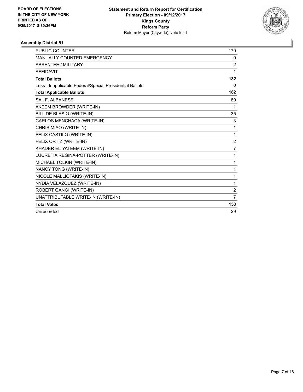

| <b>PUBLIC COUNTER</b>                                    | 179            |
|----------------------------------------------------------|----------------|
| <b>MANUALLY COUNTED EMERGENCY</b>                        | 0              |
| <b>ABSENTEE / MILITARY</b>                               | 2              |
| <b>AFFIDAVIT</b>                                         | 1              |
| <b>Total Ballots</b>                                     | 182            |
| Less - Inapplicable Federal/Special Presidential Ballots | $\mathbf{0}$   |
| <b>Total Applicable Ballots</b>                          | 182            |
| <b>SAL F. ALBANESE</b>                                   | 89             |
| AKEEM BROWDER (WRITE-IN)                                 | 1              |
| BILL DE BLASIO (WRITE-IN)                                | 35             |
| CARLOS MENCHACA (WRITE-IN)                               | 3              |
| CHRIS MIAO (WRITE-IN)                                    | 1              |
| FELIX CASTILO (WRITE-IN)                                 | 1              |
| FELIX ORTIZ (WRITE-IN)                                   | $\overline{2}$ |
| KHADER EL-YATEEM (WRITE-IN)                              | 7              |
| LUCRETIA REGINA-POTTER (WRITE-IN)                        | $\mathbf{1}$   |
| MICHAEL TOLKIN (WRITE-IN)                                | 1              |
| NANCY TONG (WRITE-IN)                                    | 1              |
| NICOLE MALLIOTAKIS (WRITE-IN)                            | 1              |
| NYDIA VELAZQUEZ (WRITE-IN)                               | 1              |
| ROBERT GANGI (WRITE-IN)                                  | $\overline{2}$ |
| UNATTRIBUTABLE WRITE-IN (WRITE-IN)                       | $\overline{7}$ |
| <b>Total Votes</b>                                       | 153            |
| Unrecorded                                               | 29             |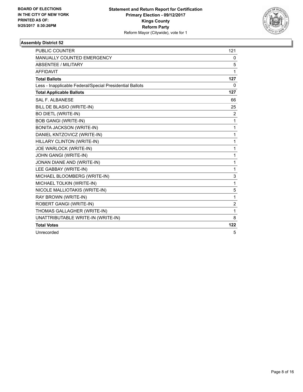

| PUBLIC COUNTER                                           | 121            |
|----------------------------------------------------------|----------------|
| MANUALLY COUNTED EMERGENCY                               | 0              |
| <b>ABSENTEE / MILITARY</b>                               | 5              |
| <b>AFFIDAVIT</b>                                         | 1              |
| <b>Total Ballots</b>                                     | 127            |
| Less - Inapplicable Federal/Special Presidential Ballots | $\Omega$       |
| <b>Total Applicable Ballots</b>                          | 127            |
| <b>SAL F. ALBANESE</b>                                   | 66             |
| BILL DE BLASIO (WRITE-IN)                                | 25             |
| <b>BO DIETL (WRITE-IN)</b>                               | 2              |
| <b>BOB GANGI (WRITE-IN)</b>                              | 1              |
| <b>BONITA JACKSON (WRITE-IN)</b>                         | 1              |
| DANIEL KNTZOVICZ (WRITE-IN)                              | 1              |
| HILLARY CLINTON (WRITE-IN)                               | 1              |
| JOE WARLOCK (WRITE-IN)                                   | 1              |
| JOHN GANGI (WRITE-IN)                                    | 1              |
| JONAN DIANE AND (WRITE-IN)                               | 1              |
| LEE GABBAY (WRITE-IN)                                    | 1              |
| MICHAEL BLOOMBERG (WRITE-IN)                             | 3              |
| MICHAEL TOLKIN (WRITE-IN)                                | 1              |
| NICOLE MALLIOTAKIS (WRITE-IN)                            | 5              |
| RAY BROWN (WRITE-IN)                                     | 1              |
| ROBERT GANGI (WRITE-IN)                                  | $\overline{2}$ |
| THOMAS GALLAGHER (WRITE-IN)                              | 1              |
| UNATTRIBUTABLE WRITE-IN (WRITE-IN)                       | 8              |
| <b>Total Votes</b>                                       | 122            |
| Unrecorded                                               | 5              |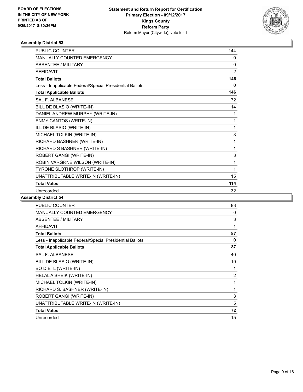

| <b>PUBLIC COUNTER</b>                                    | 144            |
|----------------------------------------------------------|----------------|
| MANUALLY COUNTED EMERGENCY                               | 0              |
| <b>ABSENTEE / MILITARY</b>                               | $\mathbf{0}$   |
| <b>AFFIDAVIT</b>                                         | $\overline{2}$ |
| <b>Total Ballots</b>                                     | 146            |
| Less - Inapplicable Federal/Special Presidential Ballots | $\Omega$       |
| <b>Total Applicable Ballots</b>                          | 146            |
| <b>SAL F. ALBANESE</b>                                   | 72             |
| BILL DE BLASIO (WRITE-IN)                                | 14             |
| DANIEL ANDREW MURPHY (WRITE-IN)                          | 1              |
| ENMY CANTOS (WRITE-IN)                                   | 1              |
| ILL DE BLASIO (WRITE-IN)                                 | 1              |
| MICHAEL TOLKIN (WRITE-IN)                                | 3              |
| RICHARD BASHNER (WRITE-IN)                               | 1              |
| RICHARD S BASHNER (WRITE-IN)                             | 1              |
| ROBERT GANGI (WRITE-IN)                                  | 3              |
| ROBIN VARGRNE WILSON (WRITE-IN)                          | 1              |
| TYRONE SLOTHROP (WRITE-IN)                               | 1              |
| UNATTRIBUTABLE WRITE-IN (WRITE-IN)                       | 15             |
| <b>Total Votes</b>                                       | 114            |
| Unrecorded                                               | 32             |

| <b>PUBLIC COUNTER</b>                                    | 83             |
|----------------------------------------------------------|----------------|
| MANUALLY COUNTED EMERGENCY                               | 0              |
| <b>ABSENTEE / MILITARY</b>                               | 3              |
| <b>AFFIDAVIT</b>                                         | 1              |
| <b>Total Ballots</b>                                     | 87             |
| Less - Inapplicable Federal/Special Presidential Ballots | 0              |
| <b>Total Applicable Ballots</b>                          | 87             |
| SAL F. ALBANESE                                          | 40             |
| BILL DE BLASIO (WRITE-IN)                                | 19             |
| <b>BO DIETL (WRITE-IN)</b>                               | 1              |
| HELAL A SHEIK (WRITE-IN)                                 | $\overline{2}$ |
| MICHAEL TOLKIN (WRITE-IN)                                | 1              |
| RICHARD S. BASHNER (WRITE-IN)                            | 1              |
| ROBERT GANGI (WRITE-IN)                                  | 3              |
| UNATTRIBUTABLE WRITE-IN (WRITE-IN)                       | 5              |
| <b>Total Votes</b>                                       | 72             |
| Unrecorded                                               | 15             |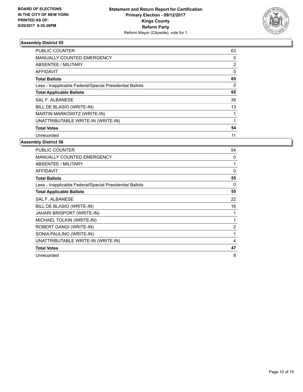

| <b>PUBLIC COUNTER</b>                                    | 63       |
|----------------------------------------------------------|----------|
| <b>MANUALLY COUNTED EMERGENCY</b>                        | 0        |
| ABSENTEE / MILITARY                                      | 2        |
| AFFIDAVIT                                                | 0        |
| <b>Total Ballots</b>                                     | 65       |
| Less - Inapplicable Federal/Special Presidential Ballots | $\Omega$ |
| <b>Total Applicable Ballots</b>                          | 65       |
| SAL F. ALBANESE                                          | 39       |
| BILL DE BLASIO (WRITE-IN)                                | 13       |
| MARTIN MARKOWITZ (WRITE-IN)                              |          |
| UNATTRIBUTABLE WRITE-IN (WRITE-IN)                       |          |
| <b>Total Votes</b>                                       | 54       |
| Unrecorded                                               | 11       |

| PUBLIC COUNTER                                           | 54             |
|----------------------------------------------------------|----------------|
| <b>MANUALLY COUNTED EMERGENCY</b>                        | 0              |
| ABSENTEE / MILITARY                                      | 1              |
| <b>AFFIDAVIT</b>                                         | 0              |
| <b>Total Ballots</b>                                     | 55             |
| Less - Inapplicable Federal/Special Presidential Ballots | 0              |
| <b>Total Applicable Ballots</b>                          | 55             |
| <b>SAL F. ALBANESE</b>                                   | 22             |
| BILL DE BLASIO (WRITE-IN)                                | 16             |
| <b>JAHARI BRISPORT (WRITE-IN)</b>                        | 1              |
| MICHAEL TOLKIN (WRITE-IN)                                |                |
| ROBERT GANGI (WRITE-IN)                                  | $\overline{2}$ |
| SONIA PAULINO (WRITE-IN)                                 | 1              |
| UNATTRIBUTABLE WRITE-IN (WRITE-IN)                       | 4              |
| <b>Total Votes</b>                                       | 47             |
| Unrecorded                                               | 8              |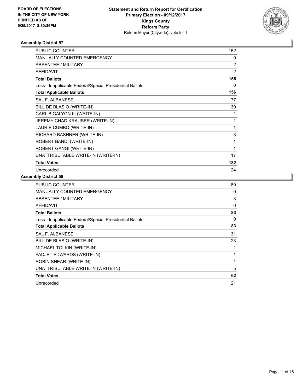

| <b>PUBLIC COUNTER</b>                                    | 152 |
|----------------------------------------------------------|-----|
| <b>MANUALLY COUNTED EMERGENCY</b>                        | 0   |
| ABSENTEE / MILITARY                                      | 2   |
| <b>AFFIDAVIT</b>                                         | 2   |
| <b>Total Ballots</b>                                     | 156 |
| Less - Inapplicable Federal/Special Presidential Ballots | 0   |
| <b>Total Applicable Ballots</b>                          | 156 |
| <b>SAL F. ALBANESE</b>                                   | 77  |
| BILL DE BLASIO (WRITE-IN)                                | 30  |
| CARL B GALYON III (WRITE-IN)                             | 1   |
| JEREMY CHAD KRAUSER (WRITE-IN)                           | 1   |
| LAURIE CUMBO (WRITE-IN)                                  | 1   |
| RICHARD BASHNER (WRITE-IN)                               | 3   |
| ROBERT BANDI (WRITE-IN)                                  | 1   |
| ROBERT GANGI (WRITE-IN)                                  | 1   |
| UNATTRIBUTABLE WRITE-IN (WRITE-IN)                       | 17  |
| <b>Total Votes</b>                                       | 132 |
| Unrecorded                                               | 24  |

| PUBLIC COUNTER                                           | 80 |
|----------------------------------------------------------|----|
| <b>MANUALLY COUNTED EMERGENCY</b>                        | 0  |
| ABSENTEE / MILITARY                                      | 3  |
| AFFIDAVIT                                                | 0  |
| <b>Total Ballots</b>                                     | 83 |
| Less - Inapplicable Federal/Special Presidential Ballots | 0  |
| <b>Total Applicable Ballots</b>                          | 83 |
| SAL F. ALBANESE                                          | 31 |
| BILL DE BLASIO (WRITE-IN)                                | 23 |
| MICHAEL TOLKIN (WRITE-IN)                                |    |
| PADJET EDWARDS (WRITE-IN)                                | 1  |
| ROBIN SHEAR (WRITE-IN)                                   | 1  |
| UNATTRIBUTABLE WRITE-IN (WRITE-IN)                       | 5  |
| <b>Total Votes</b>                                       | 62 |
| Unrecorded                                               | 21 |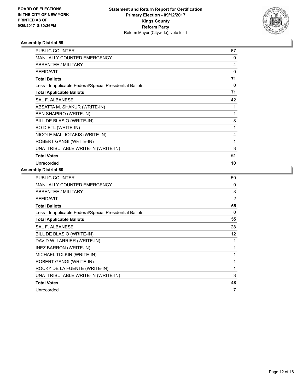

| <b>PUBLIC COUNTER</b>                                    | 67 |
|----------------------------------------------------------|----|
| <b>MANUALLY COUNTED EMERGENCY</b>                        | 0  |
| ABSENTEE / MILITARY                                      | 4  |
| <b>AFFIDAVIT</b>                                         | 0  |
| <b>Total Ballots</b>                                     | 71 |
| Less - Inapplicable Federal/Special Presidential Ballots | 0  |
| <b>Total Applicable Ballots</b>                          | 71 |
| <b>SAL F. ALBANESE</b>                                   | 42 |
| ABSATTA M. SHAKUR (WRITE-IN)                             |    |
| <b>BEN SHAPIRO (WRITE-IN)</b>                            | 1  |
| BILL DE BLASIO (WRITE-IN)                                | 8  |
| <b>BO DIETL (WRITE-IN)</b>                               | 1  |
| NICOLE MALLIOTAKIS (WRITE-IN)                            | 4  |
| ROBERT GANGI (WRITE-IN)                                  | 1  |
| UNATTRIBUTABLE WRITE-IN (WRITE-IN)                       | 3  |
| <b>Total Votes</b>                                       | 61 |
| Unrecorded                                               | 10 |

| PUBLIC COUNTER                                           | 50 |
|----------------------------------------------------------|----|
| <b>MANUALLY COUNTED EMERGENCY</b>                        | 0  |
| ABSENTEE / MILITARY                                      | 3  |
| <b>AFFIDAVIT</b>                                         | 2  |
| <b>Total Ballots</b>                                     | 55 |
| Less - Inapplicable Federal/Special Presidential Ballots | 0  |
| <b>Total Applicable Ballots</b>                          | 55 |
| <b>SAL F. ALBANESE</b>                                   | 28 |
| BILL DE BLASIO (WRITE-IN)                                | 12 |
| DAVID W. LARRIER (WRITE-IN)                              | 1  |
| INEZ BARRON (WRITE-IN)                                   | 1  |
| MICHAEL TOLKIN (WRITE-IN)                                | 1  |
| ROBERT GANGI (WRITE-IN)                                  | 1  |
| ROCKY DE LA FUENTE (WRITE-IN)                            | 1  |
| UNATTRIBUTABLE WRITE-IN (WRITE-IN)                       | 3  |
| <b>Total Votes</b>                                       | 48 |
| Unrecorded                                               | 7  |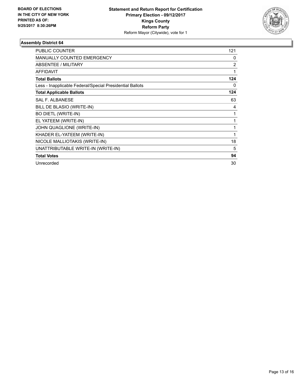

| <b>PUBLIC COUNTER</b>                                    | 121            |
|----------------------------------------------------------|----------------|
| <b>MANUALLY COUNTED EMERGENCY</b>                        | 0              |
| ABSENTEE / MILITARY                                      | $\overline{2}$ |
| <b>AFFIDAVIT</b>                                         | 1              |
| <b>Total Ballots</b>                                     | 124            |
| Less - Inapplicable Federal/Special Presidential Ballots | 0              |
| <b>Total Applicable Ballots</b>                          | 124            |
| <b>SAL F. ALBANESE</b>                                   | 63             |
| BILL DE BLASIO (WRITE-IN)                                | 4              |
| <b>BO DIETL (WRITE-IN)</b>                               | 1              |
| EL YATEEM (WRITE-IN)                                     | 1              |
| JOHN QUAGLIONE (WRITE-IN)                                | 1              |
| KHADER EL-YATEEM (WRITE-IN)                              | 1              |
| NICOLE MALLIOTAKIS (WRITE-IN)                            | 18             |
| UNATTRIBUTABLE WRITE-IN (WRITE-IN)                       | 5              |
| <b>Total Votes</b>                                       | 94             |
| Unrecorded                                               | 30             |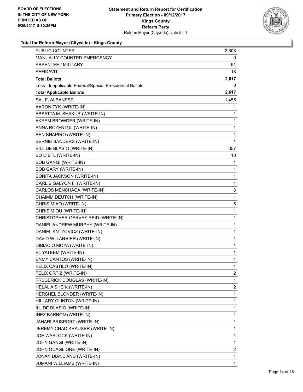

## **Total for Reform Mayor (Citywide) - Kings County**

| <b>PUBLIC COUNTER</b>                                    | 2,508 |
|----------------------------------------------------------|-------|
| <b>MANUALLY COUNTED EMERGENCY</b>                        | 0     |
| <b>ABSENTEE / MILITARY</b>                               | 91    |
| AFFIDAVIT                                                | 18    |
| <b>Total Ballots</b>                                     | 2,617 |
| Less - Inapplicable Federal/Special Presidential Ballots | 0     |
| <b>Total Applicable Ballots</b>                          | 2,617 |
| <b>SAL F. ALBANESE</b>                                   | 1,455 |
| AARON TYK (WRITE-IN)                                     | 1     |
| ABSATTA M. SHAKUR (WRITE-IN)                             | 1     |
| AKEEM BROWDER (WRITE-IN)                                 | 1     |
| ANNA ROZENTUL (WRITE-IN)                                 | 1     |
| <b>BEN SHAPIRO (WRITE-IN)</b>                            | 1     |
| BERNIE SANDERS (WRITE-IN)                                | 1     |
| BILL DE BLASIO (WRITE-IN)                                | 357   |
| <b>BO DIETL (WRITE-IN)</b>                               | 18    |
| <b>BOB GANGI (WRITE-IN)</b>                              | 1     |
| <b>BOB GARY (WRITE-IN)</b>                               | 1     |
| <b>BONITA JACKSON (WRITE-IN)</b>                         | 1     |
| CARL B GALYON III (WRITE-IN)                             | 1     |
| CARLOS MENCHACA (WRITE-IN)                               | 3     |
| CHAIMM DEUTCH (WRITE-IN)                                 | 1     |
| CHRIS MIAO (WRITE-IN)                                    | 5     |
| CHRIS MIOU (WRITE-IN)                                    | 1     |
| CHRISTOPHER GERVEY REID (WRITE-IN)                       | 1     |
| DANIEL ANDREW MURPHY (WRITE-IN)                          | 1     |
| DANIEL KNTZOVICZ (WRITE-IN)                              | 1     |
| DAVID W. LARRIER (WRITE-IN)                              | 1     |
| DIBIACIO MOYA (WRITE-IN)                                 | 1     |
| EL YATEEM (WRITE-IN)                                     | 1     |
| ENMY CANTOS (WRITE-IN)                                   | 1     |
| FELIX CASTILO (WRITE-IN)                                 | 1     |
| FELIX ORTIZ (WRITE-IN)                                   | 2     |
| FREDERICK DOUGLAS (WRITE-IN)                             | 1     |
| HELAL A SHEIK (WRITE-IN)                                 | 2     |
| HERSHEL BLONDER (WRITE-IN)                               | 1     |
| HILLARY CLINTON (WRITE-IN)                               | 1     |
| ILL DE BLASIO (WRITE-IN)                                 | 1     |
| INEZ BARRON (WRITE-IN)                                   | 1     |
| JAHARI BRISPORT (WRITE-IN)                               | 1     |
| JEREMY CHAD KRAUSER (WRITE-IN)                           | 1     |
| JOE WARLOCK (WRITE-IN)                                   | 1     |
| JOHN GANGI (WRITE-IN)                                    | 1     |
| JOHN QUAGLIONE (WRITE-IN)                                | 2     |
| JONAN DIANE AND (WRITE-IN)                               | 1     |
| JUMANI WILLIAMS (WRITE-IN)                               | 1     |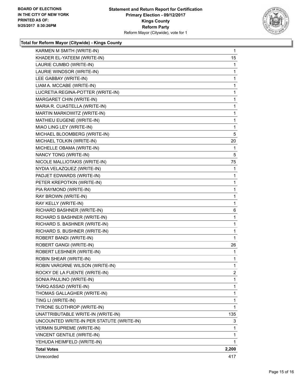

## **Total for Reform Mayor (Citywide) - Kings County**

| KHADER EL-YATEEM (WRITE-IN)<br>LAURIE CUMBO (WRITE-IN)       | 1      |
|--------------------------------------------------------------|--------|
| LAURIE WINDSOR (WRITE-IN)                                    | 1      |
| LEE GABBAY (WRITE-IN)                                        | 1      |
|                                                              |        |
| LIAM A. MCCABE (WRITE-IN)                                    | 1      |
| LUCRETIA REGINA-POTTER (WRITE-IN)                            | 1      |
| MARGARET CHIN (WRITE-IN)                                     | 1      |
| MARIA R. CUASTELLA (WRITE-IN)<br>MARTIN MARKOWITZ (WRITE-IN) | 1<br>1 |
| MATHIEU EUGENE (WRITE-IN)                                    | 1      |
| MIAO LING LEY (WRITE-IN)                                     | 1      |
| MICHAEL BLOOMBERG (WRITE-IN)                                 | 5      |
| MICHAEL TOLKIN (WRITE-IN)                                    | 20     |
| MICHELLE OBAMA (WRITE-IN)                                    | 1      |
| NANCY TONG (WRITE-IN)                                        | 5      |
| NICOLE MALLIOTAKIS (WRITE-IN)                                | 75     |
| NYDIA VELAZQUEZ (WRITE-IN)                                   | 1      |
| PADJET EDWARDS (WRITE-IN)                                    | 1      |
| PETER KREPOTKIN (WRITE-IN)                                   | 1      |
| PIA RAYMOND (WRITE-IN)                                       | 1      |
| RAY BROWN (WRITE-IN)                                         | 1      |
| RAY KELLY (WRITE-IN)                                         | 1      |
| RICHARD BASHNER (WRITE-IN)                                   | 6      |
| RICHARD S BASHNER (WRITE-IN)                                 | 1      |
| RICHARD S. BASHNER (WRITE-IN)                                | 1      |
| RICHARD S. BUSHNER (WRITE-IN)                                | 1      |
| ROBERT BANDI (WRITE-IN)                                      | 1      |
| ROBERT GANGI (WRITE-IN)                                      | 26     |
| ROBERT LESHNER (WRITE-IN)                                    | 1      |
| <b>ROBIN SHEAR (WRITE-IN)</b>                                | 1      |
| ROBIN VARGRNE WILSON (WRITE-IN)                              | 1      |
| ROCKY DE LA FUENTE (WRITE-IN)                                | 2      |
| SONIA PAULINO (WRITE-IN)                                     | 1      |
| TARIQ ASSAD (WRITE-IN)                                       | 1      |
| THOMAS GALLAGHER (WRITE-IN)                                  | 1      |
| TING LI (WRITE-IN)                                           | 1      |
| TYRONE SLOTHROP (WRITE-IN)                                   | 1      |
| UNATTRIBUTABLE WRITE-IN (WRITE-IN)                           | 135    |
| UNCOUNTED WRITE-IN PER STATUTE (WRITE-IN)                    | 3      |
| <b>VERMIN SUPREME (WRITE-IN)</b>                             | 1      |
| VINCENT GENTILE (WRITE-IN)                                   | 1      |
| YEHUDA HEIMFELD (WRITE-IN)                                   | 1      |
| <b>Total Votes</b>                                           | 2,200  |
| Unrecorded                                                   | 417    |